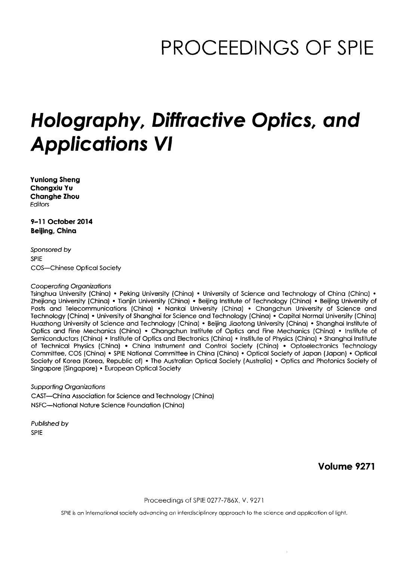# PROCEEDINGS OF SPIE

## Holography, Diffractive Optics, and Applications VI

Yunlong Sheng Chongxiu Yu Changhe Zhou **Editors** 

9-11 October 2014 Beijing, China

Sponsored by SPIE COS—Chinese Optical Society

#### Cooperating Organizations

Tsinghua University (China) • Peking University (China) • University of Science and Technology of China (China) • Zhejiang University (China) • Tianjin University (China) • Beijing Institute of Technology (China) • Beijing University of Posts and Telecommunications (China) • Nankai University (China) • Changchun University of Science and Technology (China) • University of Shanghai for Science and Technology (China) • Capital Normal University (China) Huazhong University of Science and Technology (China) • Beijing Jiaotong University (China) • Shanghai Institute of Optics and Fine Mechanics (China) • Changchun Institute of Optics and Fine Mechanics (China) • Institute of Semiconductors (China) • Institute of Optics and Electronics (China) • Institute of Physics (China) • Shanghai Institute of Technical Physics (China) • China Instrument and Control Society (China) • Optoelectronics Technology Committee, COS (China) • SPIE National Committee in China (China) • Optical Society of Japan (Japan) • Optical Society of Korea (Korea, Republic of) • The Australian Optical Society (Australia) • Optics and Photonics Society of Singapore (Singapore) • European Optical Society

Supporting Organizations CAST—China Association for Science and Technology (China) NSFC—National Nature Science Foundation (China)

Published by SPIE

Volume 9271

Proceedings of SPIE 0277-786X, V. 9271

SPIE is an international society advancing an interdisciplinary approach to the science and application of light.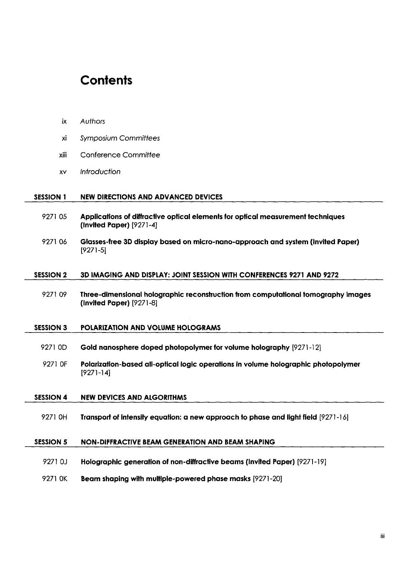### **Contents**

ix Authors

| χj               | <b>Symposium Committees</b>                                                                                   |
|------------------|---------------------------------------------------------------------------------------------------------------|
| xiii             | <b>Conference Committee</b>                                                                                   |
| X٧               | Introduction                                                                                                  |
|                  |                                                                                                               |
| <b>SESSION 1</b> | <b>NEW DIRECTIONS AND ADVANCED DEVICES</b>                                                                    |
| 927105           | Applications of diffractive optical elements for optical measurement techniques<br>(Invited Paper) [9271-4]   |
| 927106           | Glasses-free 3D display based on micro-nano-approach and system (Invited Paper)<br>$[9271-5]$                 |
|                  |                                                                                                               |
| <b>SESSION 2</b> | 3D IMAGING AND DISPLAY: JOINT SESSION WITH CONFERENCES 9271 AND 9272                                          |
| 927109           | Three-dimensional holographic reconstruction from computational tomography images<br>(Invited Paper) [9271-8] |
|                  |                                                                                                               |
| <b>SESSION 3</b> | POLARIZATION AND VOLUME HOLOGRAMS                                                                             |
| 9271 OD          | Gold nanosphere doped photopolymer for volume holography [9271-12]                                            |
| 9271 OF          | Polarization-based all-optical logic operations in volume holographic photopolymer<br>$[9271-14]$             |
|                  |                                                                                                               |
| <b>SESSION 4</b> | <b>NEW DEVICES AND ALGORITHMS</b>                                                                             |
| 9271 OH          | Transport of intensity equation: a new approach to phase and light field [9271-16]                            |
| <b>SESSION 5</b> | <b>NON-DIFFRACTIVE BEAM GENERATION AND BEAM SHAPING</b>                                                       |
| 9271 OJ          | Holographic generation of non-diffractive beams (Invited Paper) [9271-19]                                     |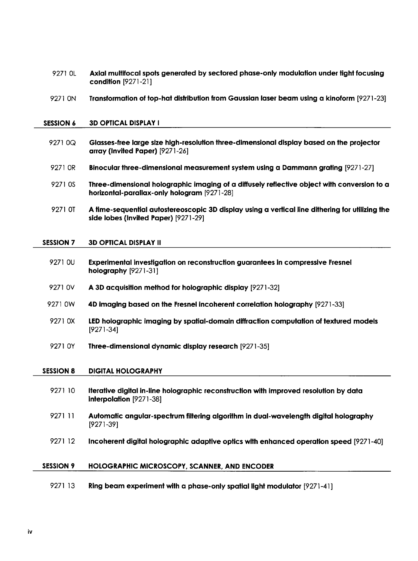| 9271 OL          | Axial multifocal spots generated by sectored phase-only modulation under fight focusing<br>condition [9271-21]                             |
|------------------|--------------------------------------------------------------------------------------------------------------------------------------------|
| 9271 ON          | Transformation of top-hat distribution from Gaussian laser beam using a kinoform [9271-23]                                                 |
| <b>SESSION 6</b> | <b>3D OPTICAL DISPLAY I</b>                                                                                                                |
| 9271 0Q          | Glasses-free large size high-resolution three-dimensional display based on the projector<br>array (Invited Paper) [9271-26]                |
| 9271 OR          | Binocular three-dimensional measurement system using a Dammann grating [9271-27]                                                           |
| 9271 0S          | Three-dimensional holographic imaging of a diffusely reflective object with conversion to a<br>horizontal-parallax-only hologram [9271-28] |
| 9271 OT          | A time-sequential autostereoscopic 3D display using a vertical line dithering for utilizing the<br>side lobes (Invited Paper) [9271-29]    |
| <b>SESSION 7</b> | <b>3D OPTICAL DISPLAY II</b>                                                                                                               |
| 9271 OU          | Experimental investigation on reconstruction guarantees in compressive Fresnel<br>holography [9271-31]                                     |
| 9271 OV          | A 3D acquisition method for holographic display [9271-32]                                                                                  |
| 9271 0W          | 4D imaging based on the Fresnel incoherent correlation holography [9271-33]                                                                |
| 9271 0X          | LED holographic imaging by spatial-domain diffraction computation of textured models<br>$[9271-34]$                                        |
| 9271 OY          | Three-dimensional dynamic display research [9271-35]                                                                                       |
| <b>SESSION 8</b> | <b>DIGITAL HOLOGRAPHY</b>                                                                                                                  |
| 9271 10          | Iterative digital in-line holographic reconstruction with improved resolution by data<br>interpolation [9271-38]                           |
| 9271 11          | Automatic angular-spectrum filtering algorithm in dual-wavelength digital holography<br>$[9271-39]$                                        |
| 9271 12          | Incoherent digital holographic adaptive optics with enhanced operation speed [9271-40]                                                     |
| <b>SESSION 9</b> | HOLOGRAPHIC MICROSCOPY, SCANNER, AND ENCODER                                                                                               |
| 9271 13          | Ring beam experiment with a phase-only spatial light modulator [9271-41]                                                                   |

 $\overline{a}$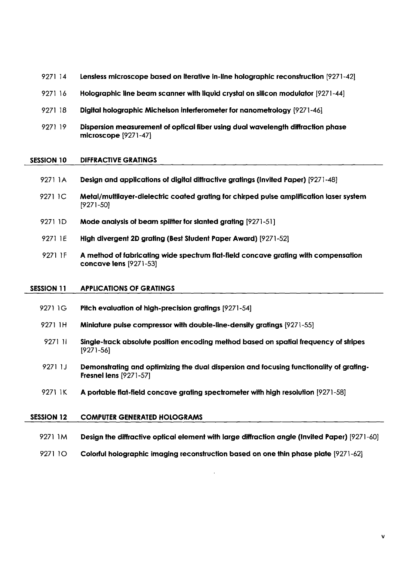- 9271 14 Lensless microscope based on iterative in-line holographic reconstruction [9271-42]
- <sup>9271</sup> <sup>16</sup> Holographic line beam scanner with liquid crystal on silicon modulator [9271-44]
- 9271 18 Digital holographic Michelson interferometer for nanometrology [9271-46]
- <sup>9271</sup> <sup>19</sup> Dispersion measurement of optical fiber using dual wavelength diffraction phase microscope [9271-47]

#### SESSION 10 DIFFRACTIVE GRATINGS

- <sup>9271</sup> 1A Design and applications of digital diffractive gratings (Invited Paper) [9271-48]
- 9271 1C Metal/multilayer-dielectric coated grating for chirped pulse amplification laser system [9271-50]
- 9271 ID Mode analysis of beam splitter for slanted grating [9271-51]
- <sup>9271</sup> 1E High divergent 2D grating (Best Student Paper Award) [9271 -52]
- <sup>9271</sup> 1F A method of fabricating wide spectrum flat-field concave grating with compensation concave lens [9271-53]

#### SESSION 11 APPLICATIONS OF GRATINGS

- 9271 1G Pitch evaluation of high-precision gratings [9271-54]
- 9271 1H Miniature pulse compressor with double-line-density gratings [9271-55]
- 9271 11 Single-track absolute position encoding method based on spatial frequency of stripes [9271-56]
- 9271 1J Demonstrating and optimizing the dual dispersion and focusing functionality of grating-Fresnel lens [9271-57]
- <sup>9271</sup> 1K A portable flat-field concave grating spectrometer with high resolution [9271-58]

#### SESSION 12 COMPUTER GENERATED HOLOGRAMS

- <sup>9271</sup> 1M Design the diffractive optical element with large diffraction angle (Invited Paper) [9271 -60]
- 9271 10 Colorful holographic imaging reconstruction based on one thin phase plate [9271-62]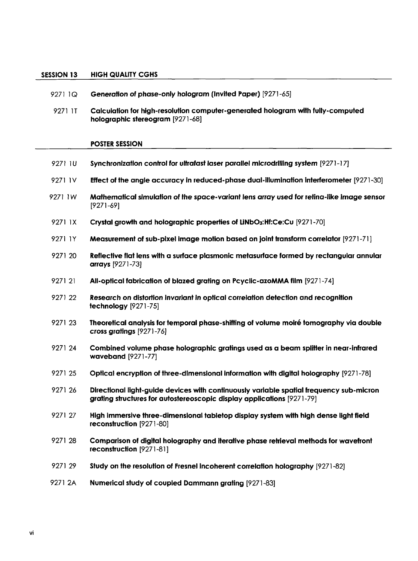### SESSION 13 HIGH QUALITY CGHS

| 9271 1Q | Generation of phase-only hologram (Invited Paper) [9271-65]                                                                                                       |
|---------|-------------------------------------------------------------------------------------------------------------------------------------------------------------------|
| 9271 IT | Calculation for high-resolution computer-generated hologram with fully-computed<br>holographic stereogram [9271-68]                                               |
|         | <b>POSTER SESSION</b>                                                                                                                                             |
| 9271 IU | Synchronization control for ultrafast laser parallel microdrilling system [9271-17]                                                                               |
| 9271 IV | Effect of the angle accuracy in reduced-phase dual-illumination interferometer [9271-30]                                                                          |
| 9271 1W | Mathematical simulation of the space-variant lens array used for retina-like image sensor<br>$[9271-69]$                                                          |
| 9271 1X | Crystal growth and holographic properties of LiNbO3:Hf:Ce:Cu [9271-70]                                                                                            |
| 9271 IY | Measurement of sub-pixel image motion based on joint transform correlator [9271-71]                                                                               |
| 9271 20 | Reflective flat lens with a surface plasmonic metasurface formed by rectangular annular<br>arrays [9271-73]                                                       |
| 9271 21 | All-optical fabrication of blazed grating on Pcyclic-azoMMA film [9271-74]                                                                                        |
| 9271 22 | Research on distortion invariant in optical correlation detection and recognition<br>technology [9271-75]                                                         |
| 9271 23 | Theoretical analysis for temporal phase-shifting of volume moiré tomography via double<br>cross gratings [9271-76]                                                |
| 9271 24 | Combined volume phase holographic gratings used as a beam splitter in near-infrared<br>waveband [9271-77]                                                         |
| 9271 25 | Optical encryption of three-dimensional information with digital holography [9271-78]                                                                             |
| 9271 26 | Directional light-guide devices with continuously variable spatial frequency sub-micron<br>grating structures for autostereoscopic display applications [9271-79] |
| 9271 27 | High immersive three-dimensional tabletop display system with high dense light field<br>reconstruction [9271-80]                                                  |
| 9271 28 | Comparison of digital holography and iterative phase retrieval methods for wavefront<br>reconstruction [9271-81]                                                  |
| 927129  | Study on the resolution of Fresnel incoherent correlation holography [9271-82]                                                                                    |
| 9271 2A | Numerical study of coupled Dammann grating [9271-83]                                                                                                              |